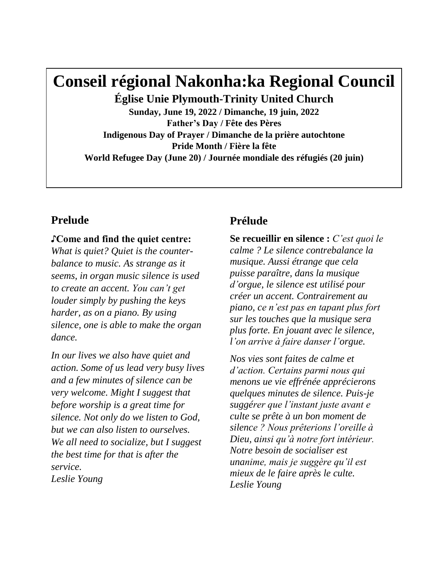# **Conseil régional Nakonha:ka Regional Council**

**Église Unie Plymouth-Trinity United Church** 

**Sunday, June 19, 2022 / Dimanche, 19 juin, 2022 Father's Day / Fête des Pères Indigenous Day of Prayer / Dimanche de la prière autochtone Pride Month / Fière la fête World Refugee Day (June 20) / Journée mondiale des réfugiés (20 juin)**

## **Prelude**

### **♪Come and find the quiet centre:**

*What is quiet? Quiet is the counterbalance to music. As strange as it seems, in organ music silence is used to create an accent. You can't get louder simply by pushing the keys harder, as on a piano. By using silence, one is able to make the organ dance.*

*In our lives we also have quiet and action. Some of us lead very busy lives and a few minutes of silence can be very welcome. Might I suggest that before worship is a great time for silence. Not only do we listen to God, but we can also listen to ourselves. We all need to socialize, but I suggest the best time for that is after the service. Leslie Young*

## **Prélude**

**Se recueillir en silence :** *C'est quoi le calme ? Le silence contrebalance la musique. Aussi étrange que cela puisse paraître, dans la musique d'orgue, le silence est utilisé pour créer un accent. Contrairement au piano, ce n'est pas en tapant plus fort sur les touches que la musique sera plus forte. En jouant avec le silence, l'on arrive à faire danser l'orgue.*

*Nos vies sont faites de calme et d'action. Certains parmi nous qui menons ue vie effrénée apprécierons quelques minutes de silence. Puis-je suggérer que l'instant juste avant e culte se prête à un bon moment de silence ? Nous prêterions l'oreille à Dieu, ainsi qu'à notre fort intérieur. Notre besoin de socialiser est unanime, mais je suggère qu'il est mieux de le faire après le culte. Leslie Young*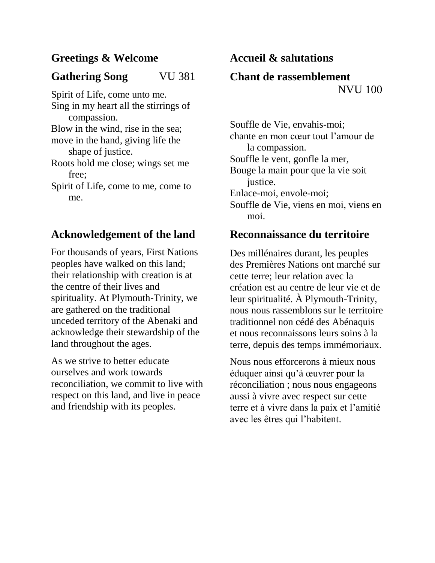## **Greetings & Welcome**

## Gathering Song **VU** 381

Spirit of Life, come unto me. Sing in my heart all the stirrings of compassion. Blow in the wind, rise in the sea; move in the hand, giving life the shape of justice. Roots hold me close; wings set me free; Spirit of Life, come to me, come to me.

### **Acknowledgement of the land**

For thousands of years, First Nations peoples have walked on this land; their relationship with creation is at the centre of their lives and spirituality. At Plymouth-Trinity, we are gathered on the traditional unceded territory of the Abenaki and acknowledge their stewardship of the land throughout the ages.

As we strive to better educate ourselves and work towards reconciliation, we commit to live with respect on this land, and live in peace and friendship with its peoples.

### **Accueil & salutations**

## **Chant de rassemblement** NVU 100

Souffle de Vie, envahis-moi; chante en mon cœur tout l'amour de la compassion. Souffle le vent, gonfle la mer, Bouge la main pour que la vie soit justice. Enlace-moi, envole-moi; Souffle de Vie, viens en moi, viens en moi.

## **Reconnaissance du territoire**

Des millénaires durant, les peuples des Premières Nations ont marché sur cette terre; leur relation avec la création est au centre de leur vie et de leur spiritualité. À Plymouth-Trinity, nous nous rassemblons sur le territoire traditionnel non cédé des Abénaquis et nous reconnaissons leurs soins à la terre, depuis des temps immémoriaux.

Nous nous efforcerons à mieux nous éduquer ainsi qu'à œuvrer pour la réconciliation ; nous nous engageons aussi à vivre avec respect sur cette terre et à vivre dans la paix et l'amitié avec les êtres qui l'habitent.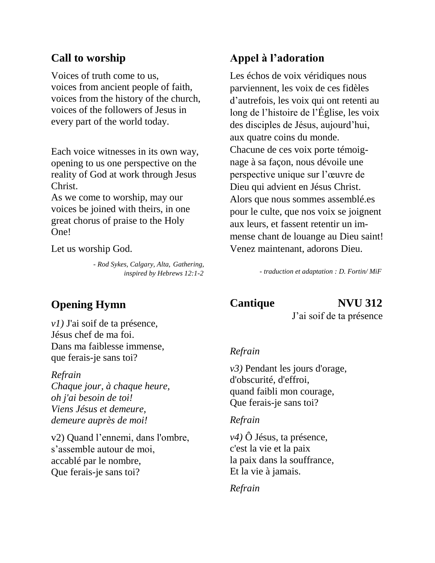## **Call to worship**

Voices of truth come to us, voices from ancient people of faith, voices from the history of the church, voices of the followers of Jesus in every part of the world today.

Each voice witnesses in its own way, opening to us one perspective on the reality of God at work through Jesus Christ.

As we come to worship, may our voices be joined with theirs, in one great chorus of praise to the Holy One!

Let us worship God.

 *- Rod Sykes, Calgary, Alta, Gathering, inspired by Hebrews 12:1-2*

## **Opening Hymn**

*v1)* J'ai soif de ta présence, Jésus chef de ma foi. Dans ma faiblesse immense, que ferais-je sans toi?

*Refrain Chaque jour, à chaque heure, oh j'ai besoin de toi! Viens Jésus et demeure, demeure auprès de moi!*

v2) Quand l'ennemi, dans l'ombre, s'assemble autour de moi, accablé par le nombre, Que ferais-je sans toi?

## **Appel à l'adoration**

Les échos de voix véridiques nous parviennent, les voix de ces fidèles d'autrefois, les voix qui ont retenti au long de l'histoire de l'Église, les voix des disciples de Jésus, aujourd'hui, aux quatre coins du monde. Chacune de ces voix porte témoignage à sa façon, nous dévoile une perspective unique sur l'œuvre de Dieu qui advient en Jésus Christ. Alors que nous sommes assemblé.es pour le culte, que nos voix se joignent aux leurs, et fassent retentir un immense chant de louange au Dieu saint! Venez maintenant, adorons Dieu.

*- traduction et adaptation : D. Fortin/ MiF*

**Cantique NVU 312**

J'ai soif de ta présence

## *Refrain*

*v3)* Pendant les jours d'orage, d'obscurité, d'effroi, quand faibli mon courage, Que ferais-je sans toi?

## *Refrain*

*v4)* Ô Jésus, ta présence, c'est la vie et la paix la paix dans la souffrance, Et la vie à jamais.

### *Refrain*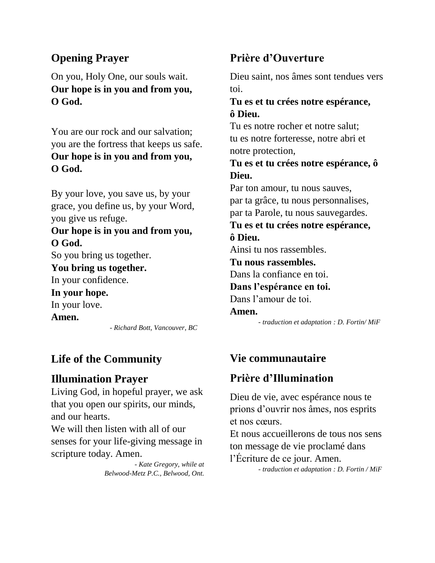## **Opening Prayer**

On you, Holy One, our souls wait. **Our hope is in you and from you, O God.**

You are our rock and our salvation; you are the fortress that keeps us safe. **Our hope is in you and from you, O God.**

By your love, you save us, by your grace, you define us, by your Word, you give us refuge.

**Our hope is in you and from you, O God.**

So you bring us together. **You bring us together.** In your confidence. **In your hope.** In your love.

**Amen.**

 *- Richard Bott, Vancouver, BC*

## **Life of the Community**

## **Illumination Prayer**

Living God, in hopeful prayer, we ask that you open our spirits, our minds, and our hearts.

We will then listen with all of our senses for your life-giving message in scripture today. Amen.

> *- Kate Gregory, while at Belwood-Metz P.C., Belwood, Ont.*

## **Prière d'Ouverture**

Dieu saint, nos âmes sont tendues vers toi.

## **Tu es et tu crées notre espérance, ô Dieu.**

Tu es notre rocher et notre salut; tu es notre forteresse, notre abri et notre protection,

**Tu es et tu crées notre espérance, ô Dieu.**

Par ton amour, tu nous sauves, par ta grâce, tu nous personnalises, par ta Parole, tu nous sauvegardes. **Tu es et tu crées notre espérance,** 

**ô Dieu.**

Ainsi tu nos rassembles.

**Tu nous rassembles.**

Dans la confiance en toi.

**Dans l'espérance en toi.**

Dans l'amour de toi.

### **Amen.**

 *- traduction et adaptation : D. Fortin/ MiF*

# **Vie communautaire**

## **Prière d'Illumination**

Dieu de vie, avec espérance nous te prions d'ouvrir nos âmes, nos esprits et nos cœurs.

Et nous accueillerons de tous nos sens ton message de vie proclamé dans l'Écriture de ce jour. Amen.

 *- traduction et adaptation : D. Fortin / MiF*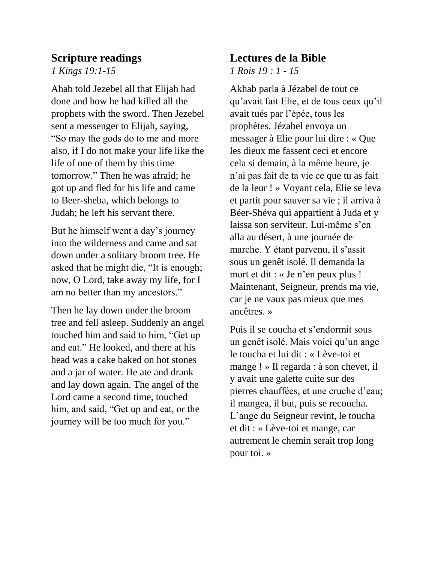## **Scripture readings**

*1 Kings 19:1-15*

Ahab told Jezebel all that Elijah had done and how he had killed all the prophets with the sword. Then Jezebel sent a messenger to Elijah, saying, "So may the gods do to me and more also, if I do not make your life like the life of one of them by this time tomorrow." Then he was afraid; he got up and fled for his life and came to Beer-sheba, which belongs to Judah; he left his servant there.

But he himself went a day's journey into the wilderness and came and sat down under a solitary broom tree. He asked that he might die, "It is enough; now, O Lord, take away my life, for I am no better than my ancestors."

Then he lay down under the broom tree and fell asleep. Suddenly an angel touched him and said to him, "Get up and eat." He looked, and there at his head was a cake baked on hot stones and a jar of water. He ate and drank and lay down again. The angel of the Lord came a second time, touched him, and said, "Get up and eat, or the journey will be too much for you."

## **Lectures de la Bible** *1 Rois 19 : 1 - 15*

Akhab parla à Jézabel de tout ce qu'avait fait Elie, et de tous ceux qu'il avait tués par l'épée, tous les prophètes. Jézabel envoya un messager à Elie pour lui dire : « Que les dieux me fassent ceci et encore cela si demain, à la même heure, je n'ai pas fait de ta vie ce que tu as fait de la leur ! » Voyant cela, Elie se leva et partit pour sauver sa vie ; il arriva à Béer-Shéva qui appartient à Juda et y laissa son serviteur. Lui-même s'en alla au désert, à une journée de marche. Y étant parvenu, il s'assit sous un genêt isolé. Il demanda la mort et dit : « Je n'en peux plus ! Maintenant, Seigneur, prends ma vie, car je ne vaux pas mieux que mes ancêtres. »

Puis il se coucha et s'endormit sous un genêt isolé. Mais voici qu'un ange le toucha et lui dit : « Lève-toi et mange ! » Il regarda : à son chevet, il y avait une galette cuite sur des pierres chauffées, et une cruche d'eau; il mangea, il but, puis se recoucha. L'ange du Seigneur revint, le toucha et dit : « Lève-toi et mange, car autrement le chemin serait trop long pour toi. »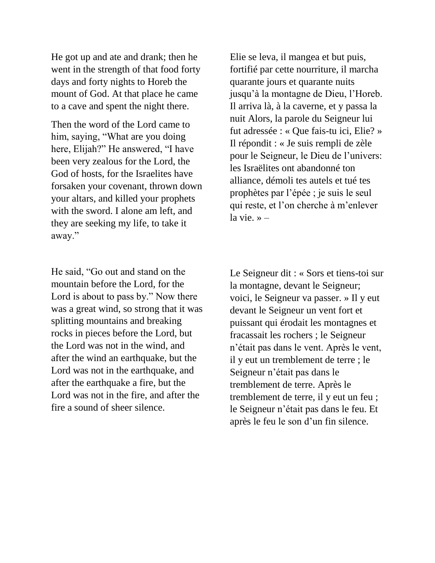He got up and ate and drank; then he went in the strength of that food forty days and forty nights to Horeb the mount of God. At that place he came to a cave and spent the night there.

Then the word of the Lord came to him, saying, "What are you doing here, Elijah?" He answered, "I have been very zealous for the Lord, the God of hosts, for the Israelites have forsaken your covenant, thrown down your altars, and killed your prophets with the sword. I alone am left, and they are seeking my life, to take it away."

He said, "Go out and stand on the mountain before the Lord, for the Lord is about to pass by." Now there was a great wind, so strong that it was splitting mountains and breaking rocks in pieces before the Lord, but the Lord was not in the wind, and after the wind an earthquake, but the Lord was not in the earthquake, and after the earthquake a fire, but the Lord was not in the fire, and after the fire a sound of sheer silence.

Elie se leva, il mangea et but puis, fortifié par cette nourriture, il marcha quarante jours et quarante nuits jusqu'à la montagne de Dieu, l'Horeb. Il arriva là, à la caverne, et y passa la nuit Alors, la parole du Seigneur lui fut adressée : « Que fais-tu ici, Elie? » Il répondit : « Je suis rempli de zèle pour le Seigneur, le Dieu de l'univers: les Israëlites ont abandonné ton alliance, démoli tes autels et tué tes prophètes par l'épée ; je suis le seul qui reste, et l'on cherche à m'enlever la vie.  $\gg -$ 

Le Seigneur dit : « Sors et tiens-toi sur la montagne, devant le Seigneur; voici, le Seigneur va passer. » Il y eut devant le Seigneur un vent fort et puissant qui érodait les montagnes et fracassait les rochers ; le Seigneur n'était pas dans le vent. Après le vent, il y eut un tremblement de terre ; le Seigneur n'était pas dans le tremblement de terre. Après le tremblement de terre, il y eut un feu ; le Seigneur n'était pas dans le feu. Et après le feu le son d'un fin silence.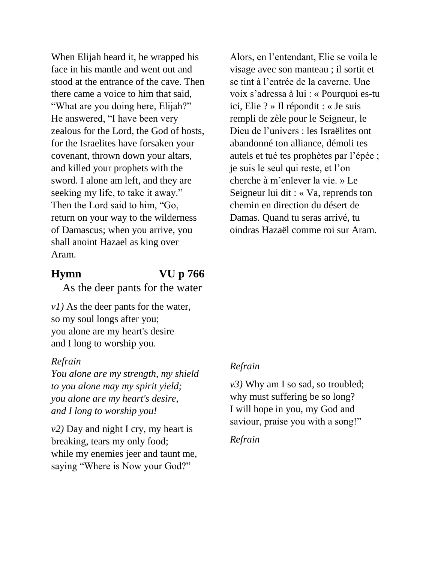When Elijah heard it, he wrapped his face in his mantle and went out and stood at the entrance of the cave. Then there came a voice to him that said, "What are you doing here, Elijah?" He answered, "I have been very zealous for the Lord, the God of hosts, for the Israelites have forsaken your covenant, thrown down your altars, and killed your prophets with the sword. I alone am left, and they are seeking my life, to take it away." Then the Lord said to him, "Go, return on your way to the wilderness of Damascus; when you arrive, you shall anoint Hazael as king over Aram.

### **Hymn VU p 766**

As the deer pants for the water

*v1)* As the deer pants for the water, so my soul longs after you; you alone are my heart's desire and I long to worship you.

#### *Refrain*

*You alone are my strength, my shield to you alone may my spirit yield; you alone are my heart's desire, and I long to worship you!*

*v2)* Day and night I cry, my heart is breaking, tears my only food; while my enemies jeer and taunt me, saying "Where is Now your God?"

Alors, en l'entendant, Elie se voila le visage avec son manteau ; il sortit et se tint à l'entrée de la caverne. Une voix s'adressa à lui : « Pourquoi es-tu ici, Elie ? » Il répondit : « Je suis rempli de zèle pour le Seigneur, le Dieu de l'univers : les Israëlites ont abandonné ton alliance, démoli tes autels et tué tes prophètes par l'épée ; je suis le seul qui reste, et l'on cherche à m'enlever la vie. » Le Seigneur lui dit : « Va, reprends ton chemin en direction du désert de Damas. Quand tu seras arrivé, tu oindras Hazaël comme roi sur Aram.

### *Refrain*

*v3)* Why am I so sad, so troubled; why must suffering be so long? I will hope in you, my God and saviour, praise you with a song!"

*Refrain*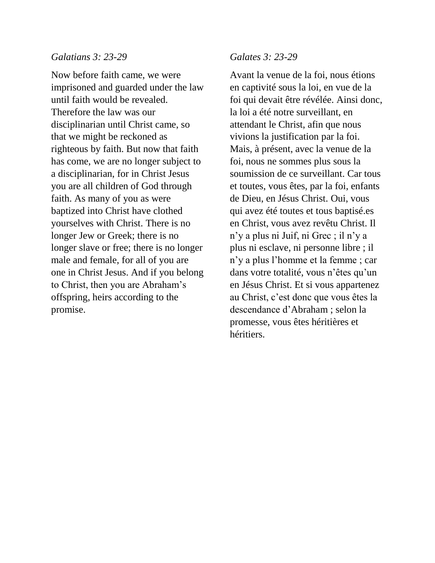#### *Galatians 3: 23-29*

Now before faith came, we were imprisoned and guarded under the law until faith would be revealed. Therefore the law was our disciplinarian until Christ came, so that we might be reckoned as righteous by faith. But now that faith has come, we are no longer subject to a disciplinarian, for in Christ Jesus you are all children of God through faith. As many of you as were baptized into Christ have clothed yourselves with Christ. There is no longer Jew or Greek; there is no longer slave or free; there is no longer male and female, for all of you are one in Christ Jesus. And if you belong to Christ, then you are Abraham's offspring, heirs according to the promise.

#### *Galates 3: 23-29*

Avant la venue de la foi, nous étions en captivité sous la loi, en vue de la foi qui devait être révélée. Ainsi donc, la loi a été notre surveillant, en attendant le Christ, afin que nous vivions la justification par la foi. Mais, à présent, avec la venue de la foi, nous ne sommes plus sous la soumission de ce surveillant. Car tous et toutes, vous êtes, par la foi, enfants de Dieu, en Jésus Christ. Oui, vous qui avez été toutes et tous baptisé.es en Christ, vous avez revêtu Christ. Il n'y a plus ni Juif, ni Grec ; il n'y a plus ni esclave, ni personne libre ; il n'y a plus l'homme et la femme ; car dans votre totalité, vous n'êtes qu'un en Jésus Christ. Et si vous appartenez au Christ, c'est donc que vous êtes la descendance d'Abraham ; selon la promesse, vous êtes héritières et héritiers.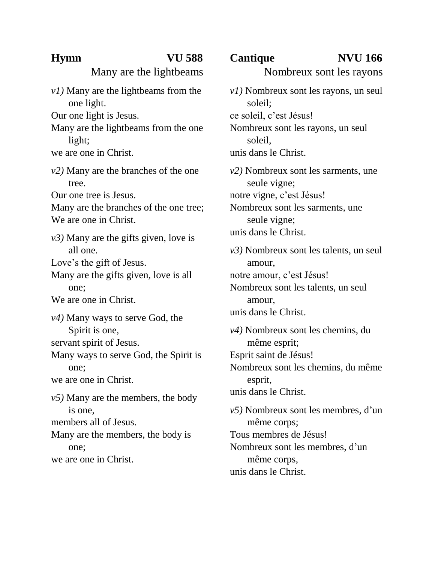## **Hymn VU 588**

Many are the lightbeams

*v1)* Many are the lightbeams from the one light. Our one light is Jesus.

Many are the lightbeams from the one light;

we are one in Christ.

*v2)* Many are the branches of the one tree.

Our one tree is Jesus.

Many are the branches of the one tree; We are one in Christ.

*v3)* Many are the gifts given, love is all one.

Love's the gift of Jesus.

Many are the gifts given, love is all one;

We are one in Christ.

*v4)* Many ways to serve God, the Spirit is one,

servant spirit of Jesus.

Many ways to serve God, the Spirit is one;

we are one in Christ.

*v5)* Many are the members, the body is one, members all of Jesus.

Many are the members, the body is one; we are one in Christ.

## **Cantique NVU 166**

Nombreux sont les rayons

*v1)* Nombreux sont les rayons, un seul soleil; ce soleil, c'est Jésus! Nombreux sont les rayons, un seul soleil, unis dans le Christ. *v2)* Nombreux sont les sarments, une seule vigne; notre vigne, c'est Jésus! Nombreux sont les sarments, une seule vigne; unis dans le Christ. *v3)* Nombreux sont les talents, un seul amour, notre amour, c'est Jésus! Nombreux sont les talents, un seul amour, unis dans le Christ. *v4)* Nombreux sont les chemins, du même esprit;

Esprit saint de Jésus!

Nombreux sont les chemins, du même esprit,

unis dans le Christ.

*v5)* Nombreux sont les membres, d'un même corps; Tous membres de Jésus! Nombreux sont les membres, d'un même corps, unis dans le Christ.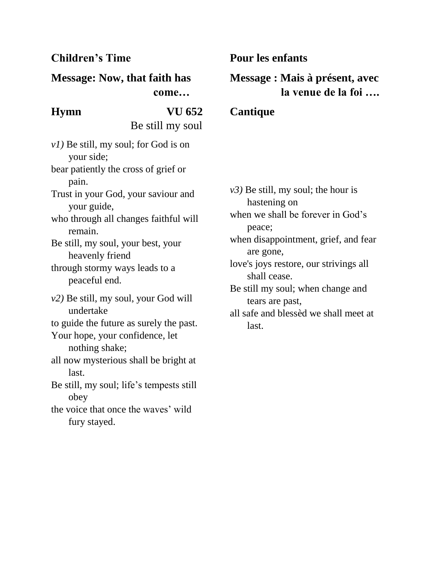## **Children's Time**

**Message: Now, that faith has**

 **come…**

**Hymn VU 652** Be still my soul

*v1)* Be still, my soul; for God is on your side; bear patiently the cross of grief or pain. Trust in your God, your saviour and your guide, who through all changes faithful will remain. Be still, my soul, your best, your heavenly friend through stormy ways leads to a peaceful end. *v2)* Be still, my soul, your God will undertake to guide the future as surely the past. Your hope, your confidence, let nothing shake; all now mysterious shall be bright at last. Be still, my soul; life's tempests still obey the voice that once the waves' wild fury stayed.

## **Pour les enfants**

**Message : Mais à présent, avec la venue de la foi ….**

## **Cantique**

*v3)* Be still, my soul; the hour is hastening on when we shall be forever in God's peace; when disappointment, grief, and fear are gone, love's joys restore, our strivings all shall cease. Be still my soul; when change and tears are past, all safe and blessèd we shall meet at last.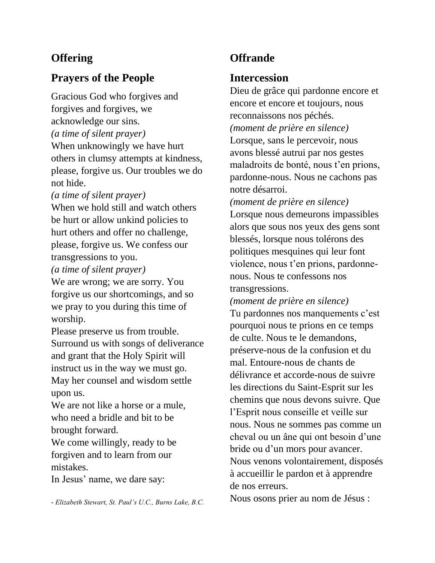## **Offering**

## **Prayers of the People**

Gracious God who forgives and forgives and forgives, we acknowledge our sins. *(a time of silent prayer)* When unknowingly we have hurt others in clumsy attempts at kindness, please, forgive us. Our troubles we do not hide.

### *(a time of silent prayer)*

When we hold still and watch others be hurt or allow unkind policies to hurt others and offer no challenge, please, forgive us. We confess our transgressions to you.

*(a time of silent prayer)*

We are wrong; we are sorry. You forgive us our shortcomings, and so we pray to you during this time of worship.

Please preserve us from trouble. Surround us with songs of deliverance and grant that the Holy Spirit will instruct us in the way we must go. May her counsel and wisdom settle upon us.

We are not like a horse or a mule. who need a bridle and bit to be brought forward.

We come willingly, ready to be forgiven and to learn from our mistakes.

In Jesus' name, we dare say:

*- Elizabeth Stewart, St. Paul's U.C., Burns Lake, B.C.*

## **Offrande**

## **Intercession**

Dieu de grâce qui pardonne encore et encore et encore et toujours, nous reconnaissons nos péchés. *(moment de prière en silence)* Lorsque, sans le percevoir, nous avons blessé autrui par nos gestes maladroits de bonté, nous t'en prions, pardonne-nous. Nous ne cachons pas notre désarroi.

*(moment de prière en silence)* Lorsque nous demeurons impassibles alors que sous nos yeux des gens sont blessés, lorsque nous tolérons des politiques mesquines qui leur font violence, nous t'en prions, pardonnenous. Nous te confessons nos transgressions.

## *(moment de prière en silence)*

Tu pardonnes nos manquements c'est pourquoi nous te prions en ce temps de culte. Nous te le demandons, préserve-nous de la confusion et du mal. Entoure-nous de chants de délivrance et accorde-nous de suivre les directions du Saint-Esprit sur les chemins que nous devons suivre. Que l'Esprit nous conseille et veille sur nous. Nous ne sommes pas comme un cheval ou un âne qui ont besoin d'une bride ou d'un mors pour avancer. Nous venons volontairement, disposés à accueillir le pardon et à apprendre de nos erreurs.

Nous osons prier au nom de Jésus :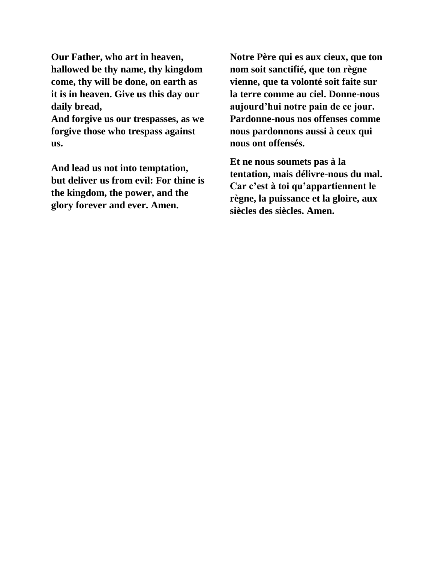**Our Father, who art in heaven, hallowed be thy name, thy kingdom come, thy will be done, on earth as it is in heaven. Give us this day our daily bread,**

**And forgive us our trespasses, as we forgive those who trespass against us.**

**And lead us not into temptation, but deliver us from evil: For thine is the kingdom, the power, and the glory forever and ever. Amen.**

**Notre Père qui es aux cieux, que ton nom soit sanctifié, que ton règne vienne, que ta volonté soit faite sur la terre comme au ciel. Donne-nous aujourd'hui notre pain de ce jour. Pardonne-nous nos offenses comme nous pardonnons aussi à ceux qui nous ont offensés.** 

**Et ne nous soumets pas à la tentation, mais délivre-nous du mal. Car c'est à toi qu'appartiennent le règne, la puissance et la gloire, aux siècles des siècles. Amen.**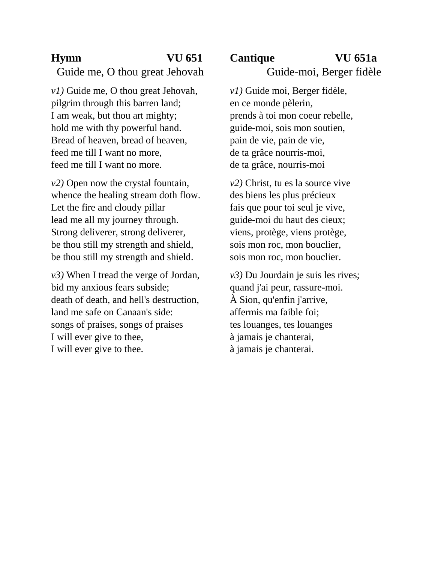## **Hymn VU 651**

Guide me, O thou great Jehovah

*v1)* Guide me, O thou great Jehovah, pilgrim through this barren land; I am weak, but thou art mighty; hold me with thy powerful hand. Bread of heaven, bread of heaven, feed me till I want no more, feed me till I want no more.

*v2)* Open now the crystal fountain, whence the healing stream doth flow. Let the fire and cloudy pillar lead me all my journey through. Strong deliverer, strong deliverer, be thou still my strength and shield, be thou still my strength and shield.

*v3)* When I tread the verge of Jordan, bid my anxious fears subside; death of death, and hell's destruction, land me safe on Canaan's side: songs of praises, songs of praises I will ever give to thee, I will ever give to thee.

# **Cantique VU 651a** Guide-moi, Berger fidèle

*v1)* Guide moi, Berger fidèle, en ce monde pèlerin, prends à toi mon coeur rebelle, guide-moi, sois mon soutien, pain de vie, pain de vie, de ta grâce nourris-moi, de ta grâce, nourris-moi

*v2)* Christ, tu es la source vive des biens les plus précieux fais que pour toi seul je vive, guide-moi du haut des cieux; viens, protège, viens protège, sois mon roc, mon bouclier, sois mon roc, mon bouclier.

*v3)* Du Jourdain je suis les rives; quand j'ai peur, rassure-moi. À Sion, qu'enfin j'arrive, affermis ma faible foi; tes louanges, tes louanges à jamais je chanterai, à jamais je chanterai.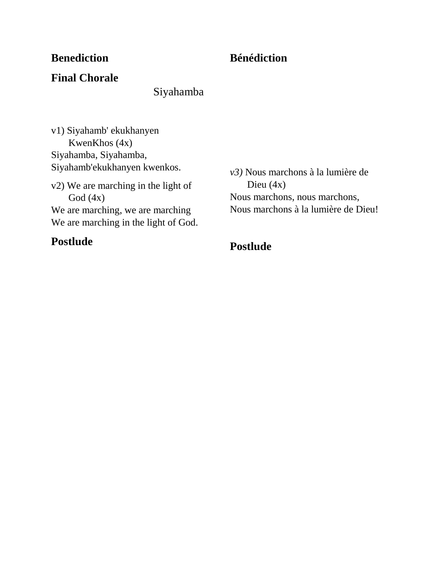## **Benediction**

## **Bénédiction**

## **Final Chorale**

## Siyahamba

v1) Siyahamb' ekukhanyen KwenKhos (4x) Siyahamba, Siyahamba, Siyahamb'ekukhanyen kwenkos.

v2) We are marching in the light of God  $(4x)$ We are marching, we are marching We are marching in the light of God.

## **Postlude**

*v3)* Nous marchons à la lumière de Dieu (4x) Nous marchons, nous marchons, Nous marchons à la lumière de Dieu!

## **Postlude**